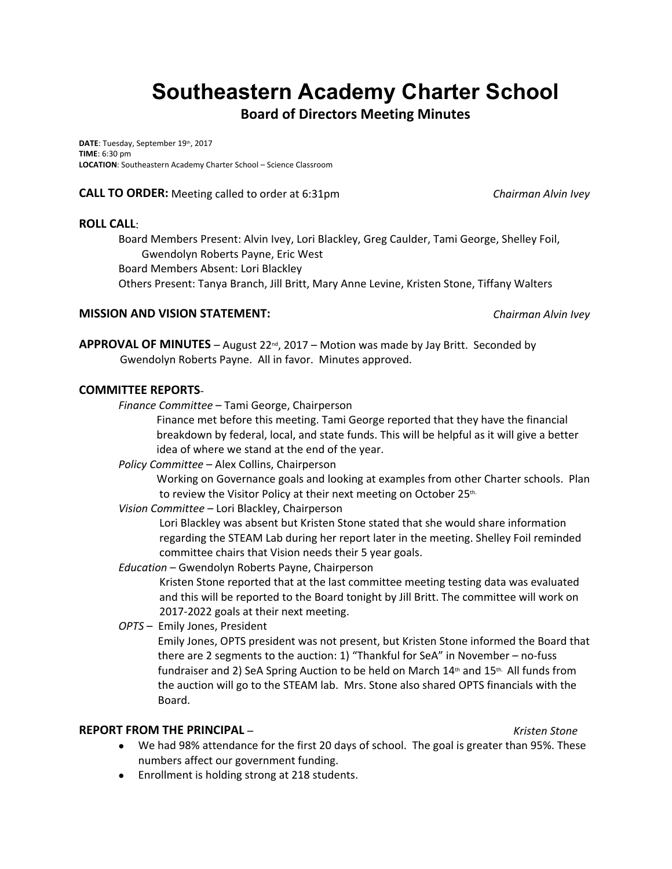# **Southeastern Academy Charter School**

# **Board of Directors Meeting Minutes**

DATE: Tuesday, September 19th, 2017 **TIME**: 6:30 pm **LOCATION**: Southeastern Academy Charter School – Science Classroom

**CALL TO ORDER:** Meeting called to order at 6:31pm *Chairman Alvin Ivey*

#### **ROLL CALL**:

Board Members Present: Alvin Ivey, Lori Blackley, Greg Caulder, Tami George, Shelley Foil, Gwendolyn Roberts Payne, Eric West

Board Members Absent: Lori Blackley

Others Present: Tanya Branch, Jill Britt, Mary Anne Levine, Kristen Stone, Tiffany Walters

## **MISSION AND VISION STATEMENT:** *Chairman Alvin Ivey*

**APPROVAL OF MINUTES** – August  $22^{nd}$ ,  $2017$  – Motion was made by Jay Britt. Seconded by Gwendolyn Roberts Payne. All in favor. Minutes approved.

## **COMMITTEE REPORTS**-

*Finance Committee* – Tami George, Chairperson

Finance met before this meeting. Tami George reported that they have the financial breakdown by federal, local, and state funds. This will be helpful as it will give a better idea of where we stand at the end of the year.

*Policy Committee* – Alex Collins, Chairperson

 Working on Governance goals and looking at examples from other Charter schools. Plan to review the Visitor Policy at their next meeting on October 25<sup>th.</sup>

*Vision Committee* – Lori Blackley, Chairperson

Lori Blackley was absent but Kristen Stone stated that she would share information regarding the STEAM Lab during her report later in the meeting. Shelley Foil reminded committee chairs that Vision needs their 5 year goals.

*Education* – Gwendolyn Roberts Payne, Chairperson

Kristen Stone reported that at the last committee meeting testing data was evaluated and this will be reported to the Board tonight by Jill Britt. The committee will work on 2017-2022 goals at their next meeting.

*OPTS* – Emily Jones, President

Emily Jones, OPTS president was not present, but Kristen Stone informed the Board that there are 2 segments to the auction: 1) "Thankful for SeA" in November – no-fuss fundraiser and 2) SeA Spring Auction to be held on March  $14<sup>th</sup>$  and  $15<sup>th</sup>$ . All funds from the auction will go to the STEAM lab. Mrs. Stone also shared OPTS financials with the Board.

## **REPORT FROM THE PRINCIPAL** – *Kristen Stone*

- 
- We had 98% attendance for the first 20 days of school. The goal is greater than 95%. These numbers affect our government funding.
- Enrollment is holding strong at 218 students.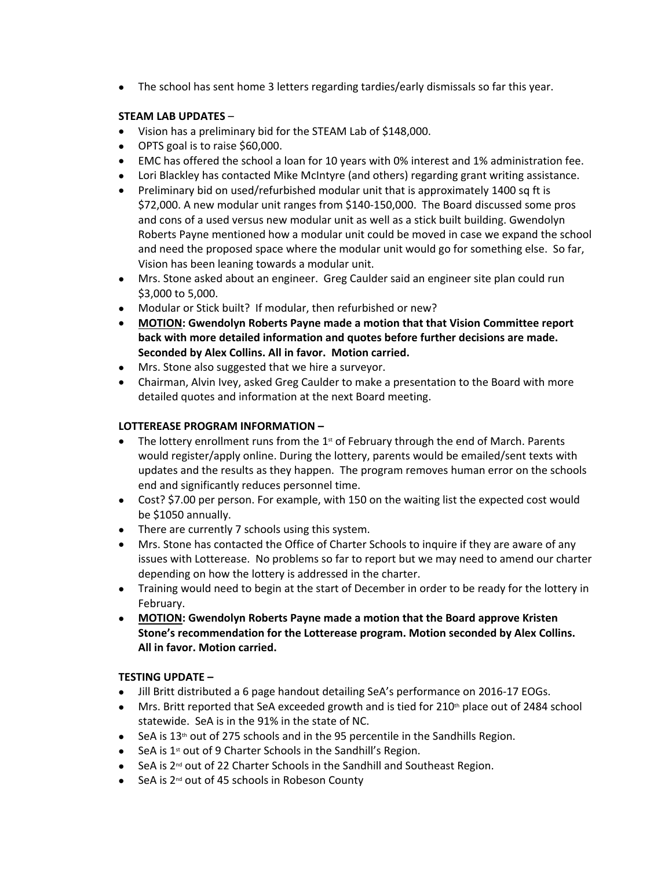The school has sent home 3 letters regarding tardies/early dismissals so far this year.

#### **STEAM LAB UPDATES** –

- Vision has a preliminary bid for the STEAM Lab of \$148,000.
- OPTS goal is to raise \$60,000.
- EMC has offered the school a loan for 10 years with 0% interest and 1% administration fee.
- Lori Blackley has contacted Mike McIntyre (and others) regarding grant writing assistance.
- Preliminary bid on used/refurbished modular unit that is approximately 1400 sq ft is \$72,000. A new modular unit ranges from \$140-150,000. The Board discussed some pros and cons of a used versus new modular unit as well as a stick built building. Gwendolyn Roberts Payne mentioned how a modular unit could be moved in case we expand the school and need the proposed space where the modular unit would go for something else. So far, Vision has been leaning towards a modular unit.
- Mrs. Stone asked about an engineer. Greg Caulder said an engineer site plan could run \$3,000 to 5,000.
- Modular or Stick built? If modular, then refurbished or new?
- **MOTION: Gwendolyn Roberts Payne made a motion that that Vision Committee report back with more detailed information and quotes before further decisions are made. Seconded by Alex Collins. All in favor. Motion carried.**
- Mrs. Stone also suggested that we hire a surveyor.
- Chairman, Alvin Ivey, asked Greg Caulder to make a presentation to the Board with more detailed quotes and information at the next Board meeting.

## **LOTTEREASE PROGRAM INFORMATION –**

- The lottery enrollment runs from the  $1<sup>st</sup>$  of February through the end of March. Parents would register/apply online. During the lottery, parents would be emailed/sent texts with updates and the results as they happen. The program removes human error on the schools end and significantly reduces personnel time.
- Cost? \$7.00 per person. For example, with 150 on the waiting list the expected cost would be \$1050 annually.
- There are currently 7 schools using this system.
- Mrs. Stone has contacted the Office of Charter Schools to inquire if they are aware of any issues with Lotterease. No problems so far to report but we may need to amend our charter depending on how the lottery is addressed in the charter.
- Training would need to begin at the start of December in order to be ready for the lottery in February.
- **MOTION: Gwendolyn Roberts Payne made a motion that the Board approve Kristen Stone's recommendation for the Lotterease program. Motion seconded by Alex Collins. All in favor. Motion carried.**

## **TESTING UPDATE –**

- Jill Britt distributed a 6 page handout detailing SeA's performance on 2016-17 EOGs.
- Mrs. Britt reported that SeA exceeded growth and is tied for  $210<sup>th</sup>$  place out of 2484 school statewide. SeA is in the 91% in the state of NC.
- SeA is 13<sup>th</sup> out of 275 schools and in the 95 percentile in the Sandhills Region.
- SeA is  $1<sup>st</sup>$  out of 9 Charter Schools in the Sandhill's Region.
- SeA is 2<sup>nd</sup> out of 22 Charter Schools in the Sandhill and Southeast Region.
- $\bullet$  SeA is 2<sup>nd</sup> out of 45 schools in Robeson County